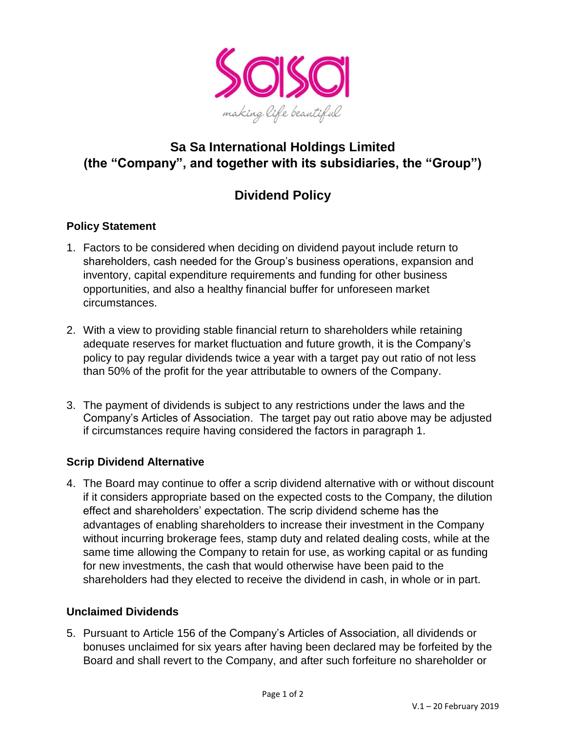

## **Sa Sa International Holdings Limited (the "Company", and together with its subsidiaries, the "Group")**

# **Dividend Policy**

## **Policy Statement**

- 1. Factors to be considered when deciding on dividend payout include return to shareholders, cash needed for the Group's business operations, expansion and inventory, capital expenditure requirements and funding for other business opportunities, and also a healthy financial buffer for unforeseen market circumstances.
- 2. With a view to providing stable financial return to shareholders while retaining adequate reserves for market fluctuation and future growth, it is the Company's policy to pay regular dividends twice a year with a target pay out ratio of not less than 50% of the profit for the year attributable to owners of the Company.
- 3. The payment of dividends is subject to any restrictions under the laws and the Company's Articles of Association. The target pay out ratio above may be adjusted if circumstances require having considered the factors in paragraph 1.

## **Scrip Dividend Alternative**

4. The Board may continue to offer a scrip dividend alternative with or without discount if it considers appropriate based on the expected costs to the Company, the dilution effect and shareholders' expectation. The scrip dividend scheme has the advantages of enabling shareholders to increase their investment in the Company without incurring brokerage fees, stamp duty and related dealing costs, while at the same time allowing the Company to retain for use, as working capital or as funding for new investments, the cash that would otherwise have been paid to the shareholders had they elected to receive the dividend in cash, in whole or in part.

#### **Unclaimed Dividends**

5. Pursuant to Article 156 of the Company's Articles of Association, all dividends or bonuses unclaimed for six years after having been declared may be forfeited by the Board and shall revert to the Company, and after such forfeiture no shareholder or